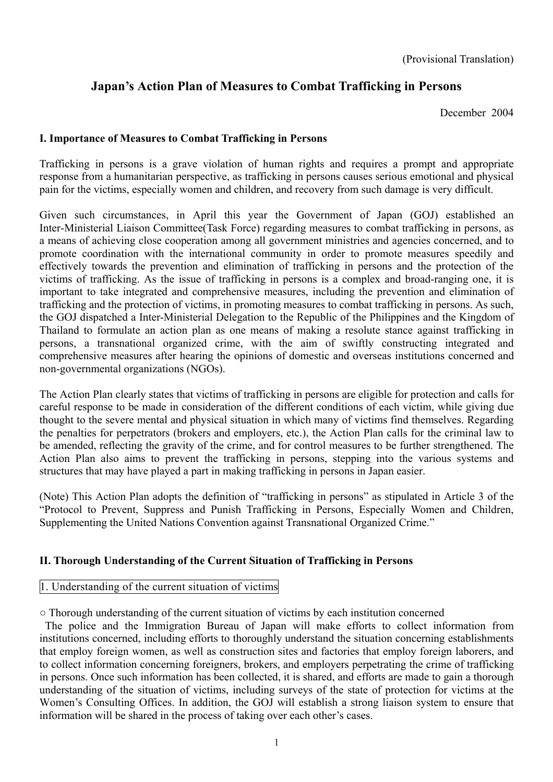# **Japan's Action Plan of Measures to Combat Trafficking in Persons**

December 2004

# **I. Importance of Measures to Combat Trafficking in Persons**

Trafficking in persons is a grave violation of human rights and requires a prompt and appropriate response from a humanitarian perspective, as trafficking in persons causes serious emotional and physical pain for the victims, especially women and children, and recovery from such damage is very difficult.

Given such circumstances, in April this year the Government of Japan (GOJ) established an Inter-Ministerial Liaison Committee(Task Force) regarding measures to combat trafficking in persons, as a means of achieving close cooperation among all government ministries and agencies concerned, and to promote coordination with the international community in order to promote measures speedily and effectively towards the prevention and elimination of trafficking in persons and the protection of the victims of trafficking. As the issue of trafficking in persons is a complex and broad-ranging one, it is important to take integrated and comprehensive measures, including the prevention and elimination of trafficking and the protection of victims, in promoting measures to combat trafficking in persons. As such, the GOJ dispatched a Inter-Ministerial Delegation to the Republic of the Philippines and the Kingdom of Thailand to formulate an action plan as one means of making a resolute stance against trafficking in persons, a transnational organized crime, with the aim of swiftly constructing integrated and comprehensive measures after hearing the opinions of domestic and overseas institutions concerned and non-governmental organizations (NGOs).

The Action Plan clearly states that victims of trafficking in persons are eligible for protection and calls for careful response to be made in consideration of the different conditions of each victim, while giving due thought to the severe mental and physical situation in which many of victims find themselves. Regarding the penalties for perpetrators (brokers and employers, etc.), the Action Plan calls for the criminal law to be amended, reflecting the gravity of the crime, and for control measures to be further strengthened. The Action Plan also aims to prevent the trafficking in persons, stepping into the various systems and structures that may have played a part in making trafficking in persons in Japan easier.

(Note) This Action Plan adopts the definition of "trafficking in persons" as stipulated in Article 3 of the "Protocol to Prevent, Suppress and Punish Trafficking in Persons, Especially Women and Children, Supplementing the United Nations Convention against Transnational Organized Crime."

# **II. Thorough Understanding of the Current Situation of Trafficking in Persons**

# 1. Understanding of the current situation of victims

○ Thorough understanding of the current situation of victims by each institution concerned

The police and the Immigration Bureau of Japan will make efforts to collect information from institutions concerned, including efforts to thoroughly understand the situation concerning establishments that employ foreign women, as well as construction sites and factories that employ foreign laborers, and to collect information concerning foreigners, brokers, and employers perpetrating the crime of trafficking in persons. Once such information has been collected, it is shared, and efforts are made to gain a thorough understanding of the situation of victims, including surveys of the state of protection for victims at the Women's Consulting Offices. In addition, the GOJ will establish a strong liaison system to ensure that information will be shared in the process of taking over each other's cases.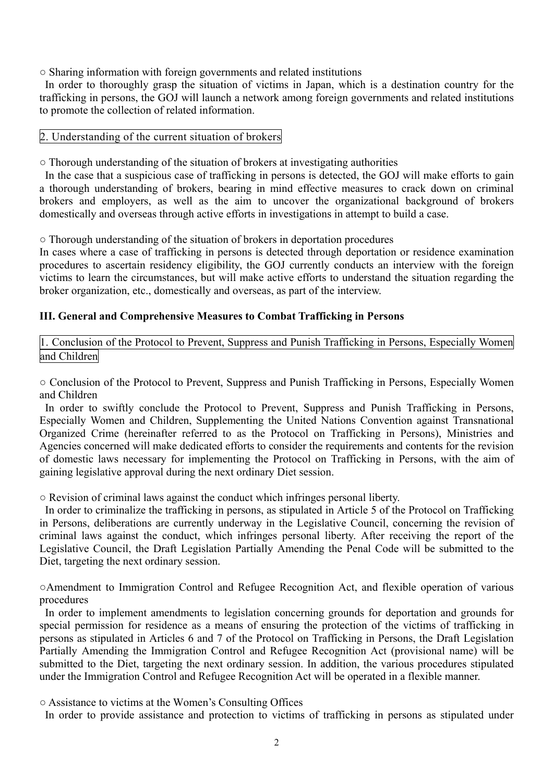○ Sharing information with foreign governments and related institutions

In order to thoroughly grasp the situation of victims in Japan, which is a destination country for the trafficking in persons, the GOJ will launch a network among foreign governments and related institutions to promote the collection of related information.

# 2. Understanding of the current situation of brokers

○ Thorough understanding of the situation of brokers at investigating authorities

In the case that a suspicious case of trafficking in persons is detected, the GOJ will make efforts to gain a thorough understanding of brokers, bearing in mind effective measures to crack down on criminal brokers and employers, as well as the aim to uncover the organizational background of brokers domestically and overseas through active efforts in investigations in attempt to build a case.

○ Thorough understanding of the situation of brokers in deportation procedures

In cases where a case of trafficking in persons is detected through deportation or residence examination procedures to ascertain residency eligibility, the GOJ currently conducts an interview with the foreign victims to learn the circumstances, but will make active efforts to understand the situation regarding the broker organization, etc., domestically and overseas, as part of the interview.

# **III. General and Comprehensive Measures to Combat Trafficking in Persons**

1. Conclusion of the Protocol to Prevent, Suppress and Punish Trafficking in Persons, Especially Women and Children

○ Conclusion of the Protocol to Prevent, Suppress and Punish Trafficking in Persons, Especially Women and Children

In order to swiftly conclude the Protocol to Prevent, Suppress and Punish Trafficking in Persons, Especially Women and Children, Supplementing the United Nations Convention against Transnational Organized Crime (hereinafter referred to as the Protocol on Trafficking in Persons), Ministries and Agencies concerned will make dedicated efforts to consider the requirements and contents for the revision of domestic laws necessary for implementing the Protocol on Trafficking in Persons, with the aim of gaining legislative approval during the next ordinary Diet session.

○ Revision of criminal laws against the conduct which infringes personal liberty.

In order to criminalize the trafficking in persons, as stipulated in Article 5 of the Protocol on Trafficking in Persons, deliberations are currently underway in the Legislative Council, concerning the revision of criminal laws against the conduct, which infringes personal liberty. After receiving the report of the Legislative Council, the Draft Legislation Partially Amending the Penal Code will be submitted to the Diet, targeting the next ordinary session.

○Amendment to Immigration Control and Refugee Recognition Act, and flexible operation of various procedures

In order to implement amendments to legislation concerning grounds for deportation and grounds for special permission for residence as a means of ensuring the protection of the victims of trafficking in persons as stipulated in Articles 6 and 7 of the Protocol on Trafficking in Persons, the Draft Legislation Partially Amending the Immigration Control and Refugee Recognition Act (provisional name) will be submitted to the Diet, targeting the next ordinary session. In addition, the various procedures stipulated under the Immigration Control and Refugee Recognition Act will be operated in a flexible manner.

○ Assistance to victims at the Women's Consulting Offices

In order to provide assistance and protection to victims of trafficking in persons as stipulated under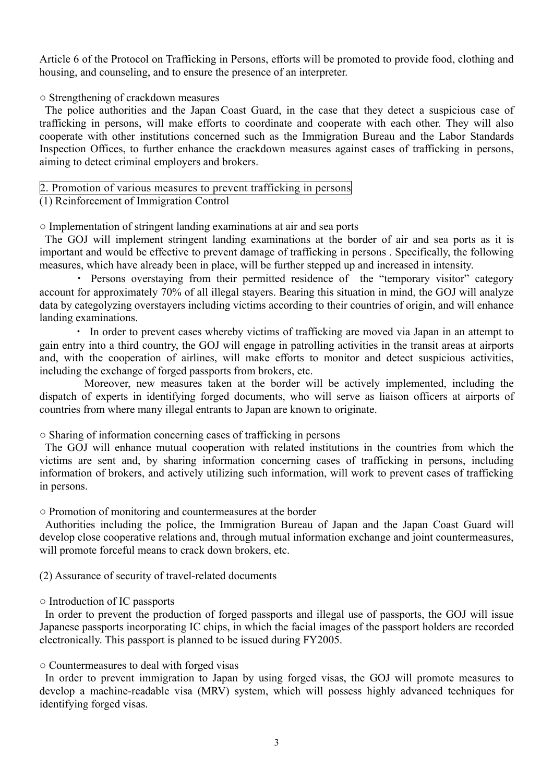Article 6 of the Protocol on Trafficking in Persons, efforts will be promoted to provide food, clothing and housing, and counseling, and to ensure the presence of an interpreter.

○ Strengthening of crackdown measures

The police authorities and the Japan Coast Guard, in the case that they detect a suspicious case of trafficking in persons, will make efforts to coordinate and cooperate with each other. They will also cooperate with other institutions concerned such as the Immigration Bureau and the Labor Standards Inspection Offices, to further enhance the crackdown measures against cases of trafficking in persons, aiming to detect criminal employers and brokers.

# 2. Promotion of various measures to prevent trafficking in persons

(1) Reinforcement of Immigration Control

○ Implementation of stringent landing examinations at air and sea ports

The GOJ will implement stringent landing examinations at the border of air and sea ports as it is important and would be effective to prevent damage of trafficking in persons . Specifically, the following measures, which have already been in place, will be further stepped up and increased in intensity.

 ・ Persons overstaying from their permitted residence of the "temporary visitor" category account for approximately 70% of all illegal stayers. Bearing this situation in mind, the GOJ will analyze data by categolyzing overstayers including victims according to their countries of origin, and will enhance landing examinations.

 ・ In order to prevent cases whereby victims of trafficking are moved via Japan in an attempt to gain entry into a third country, the GOJ will engage in patrolling activities in the transit areas at airports and, with the cooperation of airlines, will make efforts to monitor and detect suspicious activities, including the exchange of forged passports from brokers, etc.

 Moreover, new measures taken at the border will be actively implemented, including the dispatch of experts in identifying forged documents, who will serve as liaison officers at airports of countries from where many illegal entrants to Japan are known to originate.

○ Sharing of information concerning cases of trafficking in persons

The GOJ will enhance mutual cooperation with related institutions in the countries from which the victims are sent and, by sharing information concerning cases of trafficking in persons, including information of brokers, and actively utilizing such information, will work to prevent cases of trafficking in persons.

○ Promotion of monitoring and countermeasures at the border

Authorities including the police, the Immigration Bureau of Japan and the Japan Coast Guard will develop close cooperative relations and, through mutual information exchange and joint countermeasures, will promote forceful means to crack down brokers, etc.

(2) Assurance of security of travel-related documents

○ Introduction of IC passports

In order to prevent the production of forged passports and illegal use of passports, the GOJ will issue Japanese passports incorporating IC chips, in which the facial images of the passport holders are recorded electronically. This passport is planned to be issued during FY2005.

○ Countermeasures to deal with forged visas

In order to prevent immigration to Japan by using forged visas, the GOJ will promote measures to develop a machine-readable visa (MRV) system, which will possess highly advanced techniques for identifying forged visas.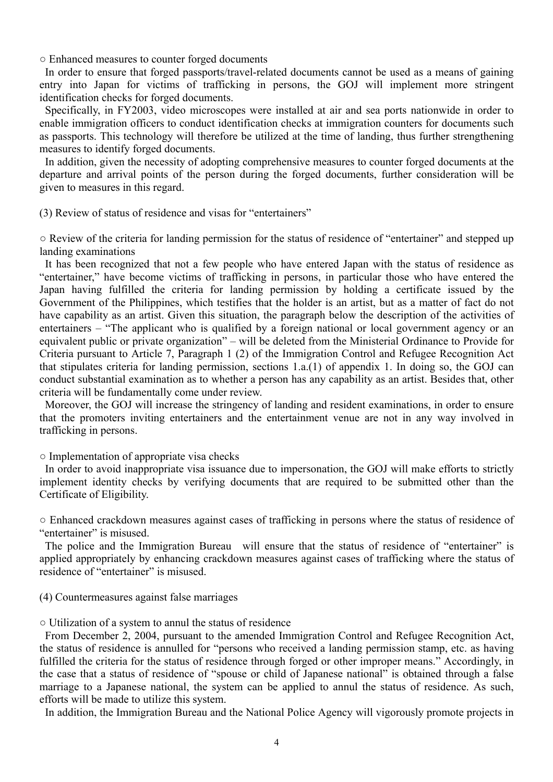○ Enhanced measures to counter forged documents

In order to ensure that forged passports/travel-related documents cannot be used as a means of gaining entry into Japan for victims of trafficking in persons, the GOJ will implement more stringent identification checks for forged documents.

 Specifically, in FY2003, video microscopes were installed at air and sea ports nationwide in order to enable immigration officers to conduct identification checks at immigration counters for documents such as passports. This technology will therefore be utilized at the time of landing, thus further strengthening measures to identify forged documents.

In addition, given the necessity of adopting comprehensive measures to counter forged documents at the departure and arrival points of the person during the forged documents, further consideration will be given to measures in this regard.

(3) Review of status of residence and visas for "entertainers"

○ Review of the criteria for landing permission for the status of residence of "entertainer" and stepped up landing examinations

It has been recognized that not a few people who have entered Japan with the status of residence as "entertainer," have become victims of trafficking in persons, in particular those who have entered the Japan having fulfilled the criteria for landing permission by holding a certificate issued by the Government of the Philippines, which testifies that the holder is an artist, but as a matter of fact do not have capability as an artist. Given this situation, the paragraph below the description of the activities of entertainers – "The applicant who is qualified by a foreign national or local government agency or an equivalent public or private organization" – will be deleted from the Ministerial Ordinance to Provide for Criteria pursuant to Article 7, Paragraph 1 (2) of the Immigration Control and Refugee Recognition Act that stipulates criteria for landing permission, sections 1.a.(1) of appendix 1. In doing so, the GOJ can conduct substantial examination as to whether a person has any capability as an artist. Besides that, other criteria will be fundamentally come under review.

 Moreover, the GOJ will increase the stringency of landing and resident examinations, in order to ensure that the promoters inviting entertainers and the entertainment venue are not in any way involved in trafficking in persons.

○ Implementation of appropriate visa checks

In order to avoid inappropriate visa issuance due to impersonation, the GOJ will make efforts to strictly implement identity checks by verifying documents that are required to be submitted other than the Certificate of Eligibility.

○ Enhanced crackdown measures against cases of trafficking in persons where the status of residence of "entertainer" is misused.

The police and the Immigration Bureau will ensure that the status of residence of "entertainer" is applied appropriately by enhancing crackdown measures against cases of trafficking where the status of residence of "entertainer" is misused.

(4) Countermeasures against false marriages

○ Utilization of a system to annul the status of residence

From December 2, 2004, pursuant to the amended Immigration Control and Refugee Recognition Act, the status of residence is annulled for "persons who received a landing permission stamp, etc. as having fulfilled the criteria for the status of residence through forged or other improper means." Accordingly, in the case that a status of residence of "spouse or child of Japanese national" is obtained through a false marriage to a Japanese national, the system can be applied to annul the status of residence. As such, efforts will be made to utilize this system.

In addition, the Immigration Bureau and the National Police Agency will vigorously promote projects in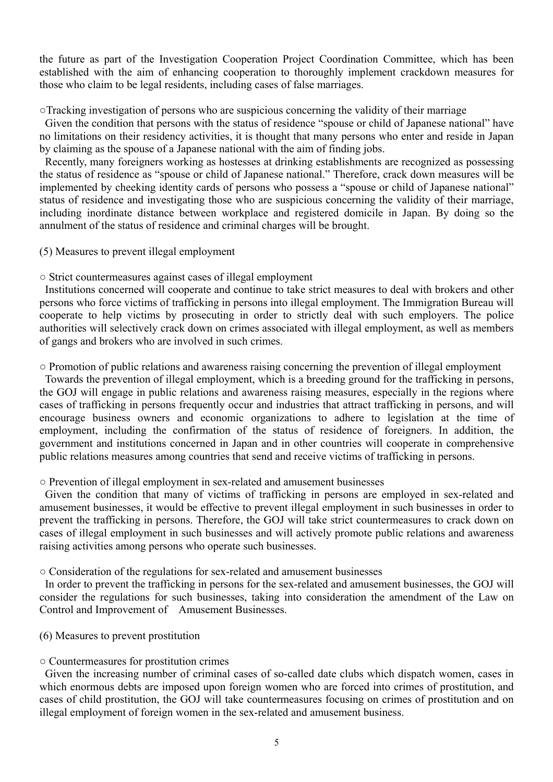the future as part of the Investigation Cooperation Project Coordination Committee, which has been established with the aim of enhancing cooperation to thoroughly implement crackdown measures for those who claim to be legal residents, including cases of false marriages.

○Tracking investigation of persons who are suspicious concerning the validity of their marriage

Given the condition that persons with the status of residence "spouse or child of Japanese national" have no limitations on their residency activities, it is thought that many persons who enter and reside in Japan by claiming as the spouse of a Japanese national with the aim of finding jobs.

Recently, many foreigners working as hostesses at drinking establishments are recognized as possessing the status of residence as "spouse or child of Japanese national." Therefore, crack down measures will be implemented by cheeking identity cards of persons who possess a "spouse or child of Japanese national" status of residence and investigating those who are suspicious concerning the validity of their marriage, including inordinate distance between workplace and registered domicile in Japan. By doing so the annulment of the status of residence and criminal charges will be brought.

(5) Measures to prevent illegal employment

○ Strict countermeasures against cases of illegal employment

Institutions concerned will cooperate and continue to take strict measures to deal with brokers and other persons who force victims of trafficking in persons into illegal employment. The Immigration Bureau will cooperate to help victims by prosecuting in order to strictly deal with such employers. The police authorities will selectively crack down on crimes associated with illegal employment, as well as members of gangs and brokers who are involved in such crimes.

○ Promotion of public relations and awareness raising concerning the prevention of illegal employment

Towards the prevention of illegal employment, which is a breeding ground for the trafficking in persons, the GOJ will engage in public relations and awareness raising measures, especially in the regions where cases of trafficking in persons frequently occur and industries that attract trafficking in persons, and will encourage business owners and economic organizations to adhere to legislation at the time of employment, including the confirmation of the status of residence of foreigners. In addition, the government and institutions concerned in Japan and in other countries will cooperate in comprehensive public relations measures among countries that send and receive victims of trafficking in persons.

# ○ Prevention of illegal employment in sex-related and amusement businesses

Given the condition that many of victims of trafficking in persons are employed in sex-related and amusement businesses, it would be effective to prevent illegal employment in such businesses in order to prevent the trafficking in persons. Therefore, the GOJ will take strict countermeasures to crack down on cases of illegal employment in such businesses and will actively promote public relations and awareness raising activities among persons who operate such businesses.

○ Consideration of the regulations for sex-related and amusement businesses

In order to prevent the trafficking in persons for the sex-related and amusement businesses, the GOJ will consider the regulations for such businesses, taking into consideration the amendment of the Law on Control and Improvement of Amusement Businesses.

(6) Measures to prevent prostitution

# ○ Countermeasures for prostitution crimes

Given the increasing number of criminal cases of so-called date clubs which dispatch women, cases in which enormous debts are imposed upon foreign women who are forced into crimes of prostitution, and cases of child prostitution, the GOJ will take countermeasures focusing on crimes of prostitution and on illegal employment of foreign women in the sex-related and amusement business.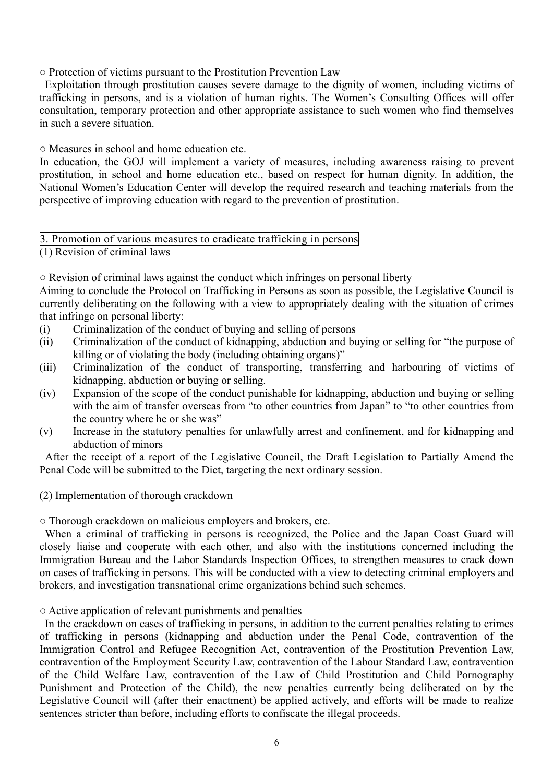○ Protection of victims pursuant to the Prostitution Prevention Law

Exploitation through prostitution causes severe damage to the dignity of women, including victims of trafficking in persons, and is a violation of human rights. The Women's Consulting Offices will offer consultation, temporary protection and other appropriate assistance to such women who find themselves in such a severe situation.

○ Measures in school and home education etc.

In education, the GOJ will implement a variety of measures, including awareness raising to prevent prostitution, in school and home education etc., based on respect for human dignity. In addition, the National Women's Education Center will develop the required research and teaching materials from the perspective of improving education with regard to the prevention of prostitution.

3. Promotion of various measures to eradicate trafficking in persons

(1) Revision of criminal laws

○ Revision of criminal laws against the conduct which infringes on personal liberty

Aiming to conclude the Protocol on Trafficking in Persons as soon as possible, the Legislative Council is currently deliberating on the following with a view to appropriately dealing with the situation of crimes that infringe on personal liberty:

- (i) Criminalization of the conduct of buying and selling of persons
- (ii) Criminalization of the conduct of kidnapping, abduction and buying or selling for "the purpose of killing or of violating the body (including obtaining organs)"
- (iii) Criminalization of the conduct of transporting, transferring and harbouring of victims of kidnapping, abduction or buying or selling.
- (iv) Expansion of the scope of the conduct punishable for kidnapping, abduction and buying or selling with the aim of transfer overseas from "to other countries from Japan" to "to other countries from the country where he or she was"
- (v) Increase in the statutory penalties for unlawfully arrest and confinement, and for kidnapping and abduction of minors

After the receipt of a report of the Legislative Council, the Draft Legislation to Partially Amend the Penal Code will be submitted to the Diet, targeting the next ordinary session.

(2) Implementation of thorough crackdown

○ Thorough crackdown on malicious employers and brokers, etc.

When a criminal of trafficking in persons is recognized, the Police and the Japan Coast Guard will closely liaise and cooperate with each other, and also with the institutions concerned including the Immigration Bureau and the Labor Standards Inspection Offices, to strengthen measures to crack down on cases of trafficking in persons. This will be conducted with a view to detecting criminal employers and brokers, and investigation transnational crime organizations behind such schemes.

○ Active application of relevant punishments and penalties

In the crackdown on cases of trafficking in persons, in addition to the current penalties relating to crimes of trafficking in persons (kidnapping and abduction under the Penal Code, contravention of the Immigration Control and Refugee Recognition Act, contravention of the Prostitution Prevention Law, contravention of the Employment Security Law, contravention of the Labour Standard Law, contravention of the Child Welfare Law, contravention of the Law of Child Prostitution and Child Pornography Punishment and Protection of the Child), the new penalties currently being deliberated on by the Legislative Council will (after their enactment) be applied actively, and efforts will be made to realize sentences stricter than before, including efforts to confiscate the illegal proceeds.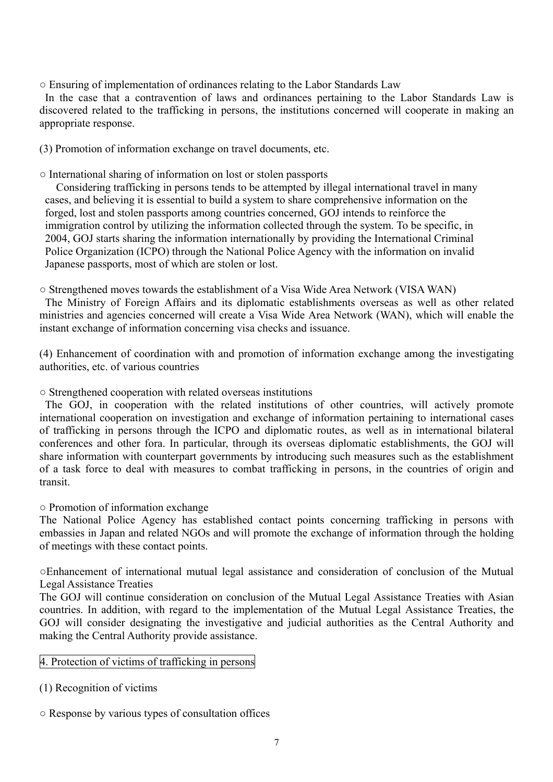○ Ensuring of implementation of ordinances relating to the Labor Standards Law

In the case that a contravention of laws and ordinances pertaining to the Labor Standards Law is discovered related to the trafficking in persons, the institutions concerned will cooperate in making an appropriate response.

(3) Promotion of information exchange on travel documents, etc.

○ International sharing of information on lost or stolen passports

Considering trafficking in persons tends to be attempted by illegal international travel in many cases, and believing it is essential to build a system to share comprehensive information on the forged, lost and stolen passports among countries concerned, GOJ intends to reinforce the immigration control by utilizing the information collected through the system. To be specific, in 2004, GOJ starts sharing the information internationally by providing the International Criminal Police Organization (ICPO) through the National Police Agency with the information on invalid Japanese passports, most of which are stolen or lost.

○ Strengthened moves towards the establishment of a Visa Wide Area Network (VISA WAN)

 The Ministry of Foreign Affairs and its diplomatic establishments overseas as well as other related ministries and agencies concerned will create a Visa Wide Area Network (WAN), which will enable the instant exchange of information concerning visa checks and issuance.

(4) Enhancement of coordination with and promotion of information exchange among the investigating authorities, etc. of various countries

○ Strengthened cooperation with related overseas institutions

The GOJ, in cooperation with the related institutions of other countries, will actively promote international cooperation on investigation and exchange of information pertaining to international cases of trafficking in persons through the ICPO and diplomatic routes, as well as in international bilateral conferences and other fora. In particular, through its overseas diplomatic establishments, the GOJ will share information with counterpart governments by introducing such measures such as the establishment of a task force to deal with measures to combat trafficking in persons, in the countries of origin and transit.

○ Promotion of information exchange

The National Police Agency has established contact points concerning trafficking in persons with embassies in Japan and related NGOs and will promote the exchange of information through the holding of meetings with these contact points.

○Enhancement of international mutual legal assistance and consideration of conclusion of the Mutual Legal Assistance Treaties

The GOJ will continue consideration on conclusion of the Mutual Legal Assistance Treaties with Asian countries. In addition, with regard to the implementation of the Mutual Legal Assistance Treaties, the GOJ will consider designating the investigative and judicial authorities as the Central Authority and making the Central Authority provide assistance.

# 4. Protection of victims of trafficking in persons

(1) Recognition of victims

○ Response by various types of consultation offices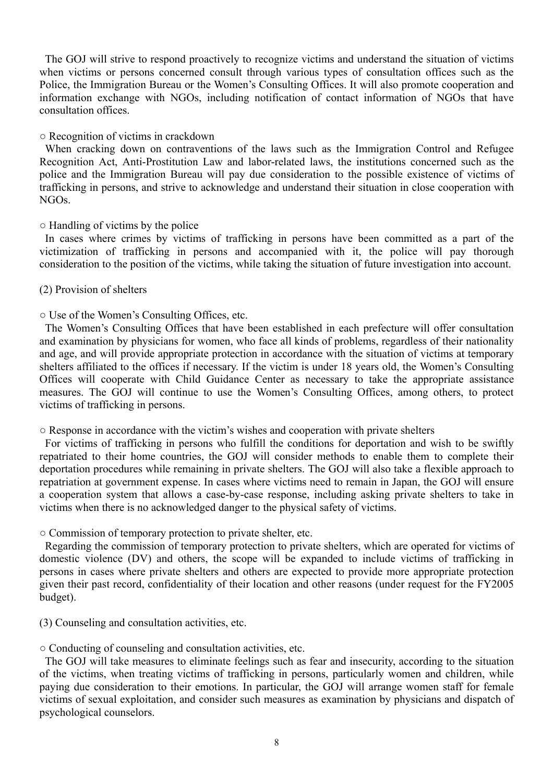The GOJ will strive to respond proactively to recognize victims and understand the situation of victims when victims or persons concerned consult through various types of consultation offices such as the Police, the Immigration Bureau or the Women's Consulting Offices. It will also promote cooperation and information exchange with NGOs, including notification of contact information of NGOs that have consultation offices.

#### ○ Recognition of victims in crackdown

When cracking down on contraventions of the laws such as the Immigration Control and Refugee Recognition Act, Anti-Prostitution Law and labor-related laws, the institutions concerned such as the police and the Immigration Bureau will pay due consideration to the possible existence of victims of trafficking in persons, and strive to acknowledge and understand their situation in close cooperation with NGOs.

#### ○ Handling of victims by the police

In cases where crimes by victims of trafficking in persons have been committed as a part of the victimization of trafficking in persons and accompanied with it, the police will pay thorough consideration to the position of the victims, while taking the situation of future investigation into account.

#### (2) Provision of shelters

# ○ Use of the Women's Consulting Offices, etc.

The Women's Consulting Offices that have been established in each prefecture will offer consultation and examination by physicians for women, who face all kinds of problems, regardless of their nationality and age, and will provide appropriate protection in accordance with the situation of victims at temporary shelters affiliated to the offices if necessary. If the victim is under 18 years old, the Women's Consulting Offices will cooperate with Child Guidance Center as necessary to take the appropriate assistance measures. The GOJ will continue to use the Women's Consulting Offices, among others, to protect victims of trafficking in persons.

#### ○ Response in accordance with the victim's wishes and cooperation with private shelters

For victims of trafficking in persons who fulfill the conditions for deportation and wish to be swiftly repatriated to their home countries, the GOJ will consider methods to enable them to complete their deportation procedures while remaining in private shelters. The GOJ will also take a flexible approach to repatriation at government expense. In cases where victims need to remain in Japan, the GOJ will ensure a cooperation system that allows a case-by-case response, including asking private shelters to take in victims when there is no acknowledged danger to the physical safety of victims.

# ○ Commission of temporary protection to private shelter, etc.

Regarding the commission of temporary protection to private shelters, which are operated for victims of domestic violence (DV) and others, the scope will be expanded to include victims of trafficking in persons in cases where private shelters and others are expected to provide more appropriate protection given their past record, confidentiality of their location and other reasons (under request for the FY2005 budget).

(3) Counseling and consultation activities, etc.

#### ○ Conducting of counseling and consultation activities, etc.

The GOJ will take measures to eliminate feelings such as fear and insecurity, according to the situation of the victims, when treating victims of trafficking in persons, particularly women and children, while paying due consideration to their emotions. In particular, the GOJ will arrange women staff for female victims of sexual exploitation, and consider such measures as examination by physicians and dispatch of psychological counselors.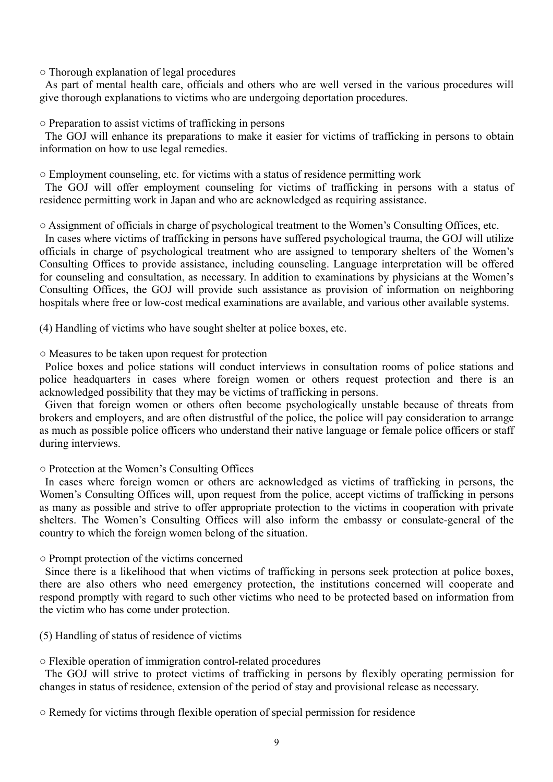#### ○ Thorough explanation of legal procedures

As part of mental health care, officials and others who are well versed in the various procedures will give thorough explanations to victims who are undergoing deportation procedures.

○ Preparation to assist victims of trafficking in persons

The GOJ will enhance its preparations to make it easier for victims of trafficking in persons to obtain information on how to use legal remedies.

 $\circ$  Employment counseling, etc. for victims with a status of residence permitting work

The GOJ will offer employment counseling for victims of trafficking in persons with a status of residence permitting work in Japan and who are acknowledged as requiring assistance.

○ Assignment of officials in charge of psychological treatment to the Women's Consulting Offices, etc.

In cases where victims of trafficking in persons have suffered psychological trauma, the GOJ will utilize officials in charge of psychological treatment who are assigned to temporary shelters of the Women's Consulting Offices to provide assistance, including counseling. Language interpretation will be offered for counseling and consultation, as necessary. In addition to examinations by physicians at the Women's Consulting Offices, the GOJ will provide such assistance as provision of information on neighboring hospitals where free or low-cost medical examinations are available, and various other available systems.

(4) Handling of victims who have sought shelter at police boxes, etc.

#### ○ Measures to be taken upon request for protection

Police boxes and police stations will conduct interviews in consultation rooms of police stations and police headquarters in cases where foreign women or others request protection and there is an acknowledged possibility that they may be victims of trafficking in persons.

 Given that foreign women or others often become psychologically unstable because of threats from brokers and employers, and are often distrustful of the police, the police will pay consideration to arrange as much as possible police officers who understand their native language or female police officers or staff during interviews.

#### ○ Protection at the Women's Consulting Offices

In cases where foreign women or others are acknowledged as victims of trafficking in persons, the Women's Consulting Offices will, upon request from the police, accept victims of trafficking in persons as many as possible and strive to offer appropriate protection to the victims in cooperation with private shelters. The Women's Consulting Offices will also inform the embassy or consulate-general of the country to which the foreign women belong of the situation.

○ Prompt protection of the victims concerned

Since there is a likelihood that when victims of trafficking in persons seek protection at police boxes, there are also others who need emergency protection, the institutions concerned will cooperate and respond promptly with regard to such other victims who need to be protected based on information from the victim who has come under protection.

(5) Handling of status of residence of victims

○ Flexible operation of immigration control-related procedures

The GOJ will strive to protect victims of trafficking in persons by flexibly operating permission for changes in status of residence, extension of the period of stay and provisional release as necessary.

○ Remedy for victims through flexible operation of special permission for residence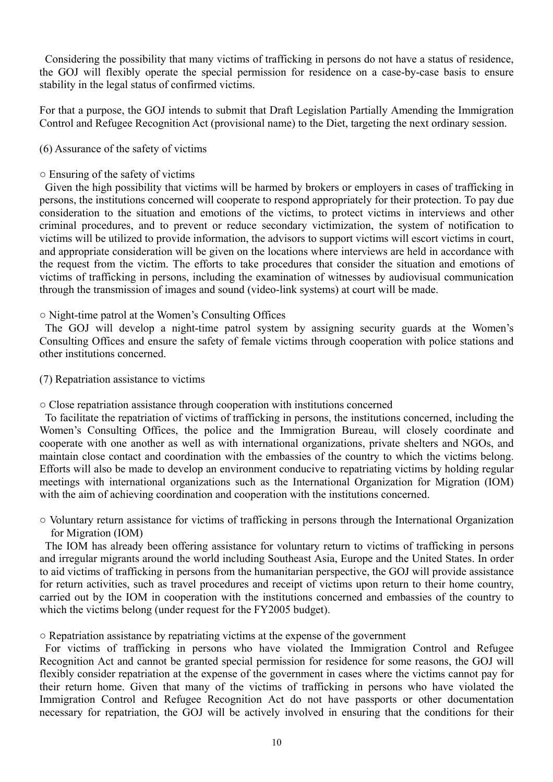Considering the possibility that many victims of trafficking in persons do not have a status of residence, the GOJ will flexibly operate the special permission for residence on a case-by-case basis to ensure stability in the legal status of confirmed victims.

For that a purpose, the GOJ intends to submit that Draft Legislation Partially Amending the Immigration Control and Refugee Recognition Act (provisional name) to the Diet, targeting the next ordinary session.

# (6) Assurance of the safety of victims

# ○ Ensuring of the safety of victims

Given the high possibility that victims will be harmed by brokers or employers in cases of trafficking in persons, the institutions concerned will cooperate to respond appropriately for their protection. To pay due consideration to the situation and emotions of the victims, to protect victims in interviews and other criminal procedures, and to prevent or reduce secondary victimization, the system of notification to victims will be utilized to provide information, the advisors to support victims will escort victims in court, and appropriate consideration will be given on the locations where interviews are held in accordance with the request from the victim. The efforts to take procedures that consider the situation and emotions of victims of trafficking in persons, including the examination of witnesses by audiovisual communication through the transmission of images and sound (video-link systems) at court will be made.

# ○ Night-time patrol at the Women's Consulting Offices

The GOJ will develop a night-time patrol system by assigning security guards at the Women's Consulting Offices and ensure the safety of female victims through cooperation with police stations and other institutions concerned.

(7) Repatriation assistance to victims

○ Close repatriation assistance through cooperation with institutions concerned

To facilitate the repatriation of victims of trafficking in persons, the institutions concerned, including the Women's Consulting Offices, the police and the Immigration Bureau, will closely coordinate and cooperate with one another as well as with international organizations, private shelters and NGOs, and maintain close contact and coordination with the embassies of the country to which the victims belong. Efforts will also be made to develop an environment conducive to repatriating victims by holding regular meetings with international organizations such as the International Organization for Migration (IOM) with the aim of achieving coordination and cooperation with the institutions concerned.

○ Voluntary return assistance for victims of trafficking in persons through the International Organization for Migration (IOM)

The IOM has already been offering assistance for voluntary return to victims of trafficking in persons and irregular migrants around the world including Southeast Asia, Europe and the United States. In order to aid victims of trafficking in persons from the humanitarian perspective, the GOJ will provide assistance for return activities, such as travel procedures and receipt of victims upon return to their home country, carried out by the IOM in cooperation with the institutions concerned and embassies of the country to which the victims belong (under request for the FY2005 budget).

○ Repatriation assistance by repatriating victims at the expense of the government

For victims of trafficking in persons who have violated the Immigration Control and Refugee Recognition Act and cannot be granted special permission for residence for some reasons, the GOJ will flexibly consider repatriation at the expense of the government in cases where the victims cannot pay for their return home. Given that many of the victims of trafficking in persons who have violated the Immigration Control and Refugee Recognition Act do not have passports or other documentation necessary for repatriation, the GOJ will be actively involved in ensuring that the conditions for their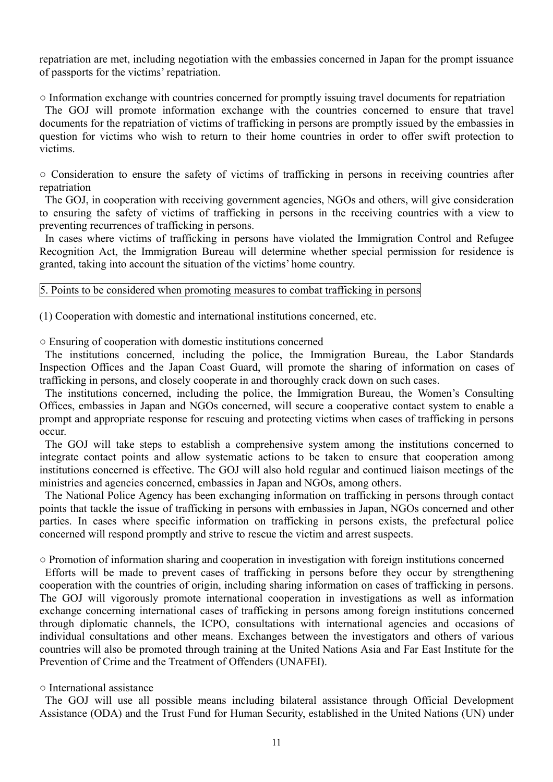repatriation are met, including negotiation with the embassies concerned in Japan for the prompt issuance of passports for the victims' repatriation.

○ Information exchange with countries concerned for promptly issuing travel documents for repatriation

The GOJ will promote information exchange with the countries concerned to ensure that travel documents for the repatriation of victims of trafficking in persons are promptly issued by the embassies in question for victims who wish to return to their home countries in order to offer swift protection to victims.

○ Consideration to ensure the safety of victims of trafficking in persons in receiving countries after repatriation

The GOJ, in cooperation with receiving government agencies, NGOs and others, will give consideration to ensuring the safety of victims of trafficking in persons in the receiving countries with a view to preventing recurrences of trafficking in persons.

 In cases where victims of trafficking in persons have violated the Immigration Control and Refugee Recognition Act, the Immigration Bureau will determine whether special permission for residence is granted, taking into account the situation of the victims' home country.

5. Points to be considered when promoting measures to combat trafficking in persons

(1) Cooperation with domestic and international institutions concerned, etc.

○ Ensuring of cooperation with domestic institutions concerned

The institutions concerned, including the police, the Immigration Bureau, the Labor Standards Inspection Offices and the Japan Coast Guard, will promote the sharing of information on cases of trafficking in persons, and closely cooperate in and thoroughly crack down on such cases.

 The institutions concerned, including the police, the Immigration Bureau, the Women's Consulting Offices, embassies in Japan and NGOs concerned, will secure a cooperative contact system to enable a prompt and appropriate response for rescuing and protecting victims when cases of trafficking in persons occur.

The GOJ will take steps to establish a comprehensive system among the institutions concerned to integrate contact points and allow systematic actions to be taken to ensure that cooperation among institutions concerned is effective. The GOJ will also hold regular and continued liaison meetings of the ministries and agencies concerned, embassies in Japan and NGOs, among others.

 The National Police Agency has been exchanging information on trafficking in persons through contact points that tackle the issue of trafficking in persons with embassies in Japan, NGOs concerned and other parties. In cases where specific information on trafficking in persons exists, the prefectural police concerned will respond promptly and strive to rescue the victim and arrest suspects.

○ Promotion of information sharing and cooperation in investigation with foreign institutions concerned

Efforts will be made to prevent cases of trafficking in persons before they occur by strengthening cooperation with the countries of origin, including sharing information on cases of trafficking in persons. The GOJ will vigorously promote international cooperation in investigations as well as information exchange concerning international cases of trafficking in persons among foreign institutions concerned through diplomatic channels, the ICPO, consultations with international agencies and occasions of individual consultations and other means. Exchanges between the investigators and others of various countries will also be promoted through training at the United Nations Asia and Far East Institute for the Prevention of Crime and the Treatment of Offenders (UNAFEI).

# ○ International assistance

The GOJ will use all possible means including bilateral assistance through Official Development Assistance (ODA) and the Trust Fund for Human Security, established in the United Nations (UN) under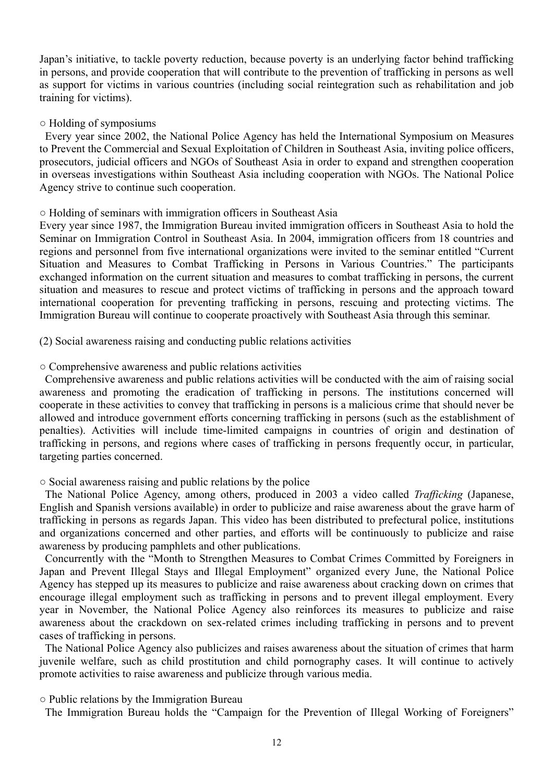Japan's initiative, to tackle poverty reduction, because poverty is an underlying factor behind trafficking in persons, and provide cooperation that will contribute to the prevention of trafficking in persons as well as support for victims in various countries (including social reintegration such as rehabilitation and job training for victims).

#### ○ Holding of symposiums

Every year since 2002, the National Police Agency has held the International Symposium on Measures to Prevent the Commercial and Sexual Exploitation of Children in Southeast Asia, inviting police officers, prosecutors, judicial officers and NGOs of Southeast Asia in order to expand and strengthen cooperation in overseas investigations within Southeast Asia including cooperation with NGOs. The National Police Agency strive to continue such cooperation.

#### ○ Holding of seminars with immigration officers in Southeast Asia

Every year since 1987, the Immigration Bureau invited immigration officers in Southeast Asia to hold the Seminar on Immigration Control in Southeast Asia. In 2004, immigration officers from 18 countries and regions and personnel from five international organizations were invited to the seminar entitled "Current Situation and Measures to Combat Trafficking in Persons in Various Countries." The participants exchanged information on the current situation and measures to combat trafficking in persons, the current situation and measures to rescue and protect victims of trafficking in persons and the approach toward international cooperation for preventing trafficking in persons, rescuing and protecting victims. The Immigration Bureau will continue to cooperate proactively with Southeast Asia through this seminar.

(2) Social awareness raising and conducting public relations activities

#### ○ Comprehensive awareness and public relations activities

Comprehensive awareness and public relations activities will be conducted with the aim of raising social awareness and promoting the eradication of trafficking in persons. The institutions concerned will cooperate in these activities to convey that trafficking in persons is a malicious crime that should never be allowed and introduce government efforts concerning trafficking in persons (such as the establishment of penalties). Activities will include time-limited campaigns in countries of origin and destination of trafficking in persons, and regions where cases of trafficking in persons frequently occur, in particular, targeting parties concerned.

#### ○ Social awareness raising and public relations by the police

The National Police Agency, among others, produced in 2003 a video called *Trafficking* (Japanese, English and Spanish versions available) in order to publicize and raise awareness about the grave harm of trafficking in persons as regards Japan. This video has been distributed to prefectural police, institutions and organizations concerned and other parties, and efforts will be continuously to publicize and raise awareness by producing pamphlets and other publications.

 Concurrently with the "Month to Strengthen Measures to Combat Crimes Committed by Foreigners in Japan and Prevent Illegal Stays and Illegal Employment" organized every June, the National Police Agency has stepped up its measures to publicize and raise awareness about cracking down on crimes that encourage illegal employment such as trafficking in persons and to prevent illegal employment. Every year in November, the National Police Agency also reinforces its measures to publicize and raise awareness about the crackdown on sex-related crimes including trafficking in persons and to prevent cases of trafficking in persons.

The National Police Agency also publicizes and raises awareness about the situation of crimes that harm juvenile welfare, such as child prostitution and child pornography cases. It will continue to actively promote activities to raise awareness and publicize through various media.

○ Public relations by the Immigration Bureau

The Immigration Bureau holds the "Campaign for the Prevention of Illegal Working of Foreigners"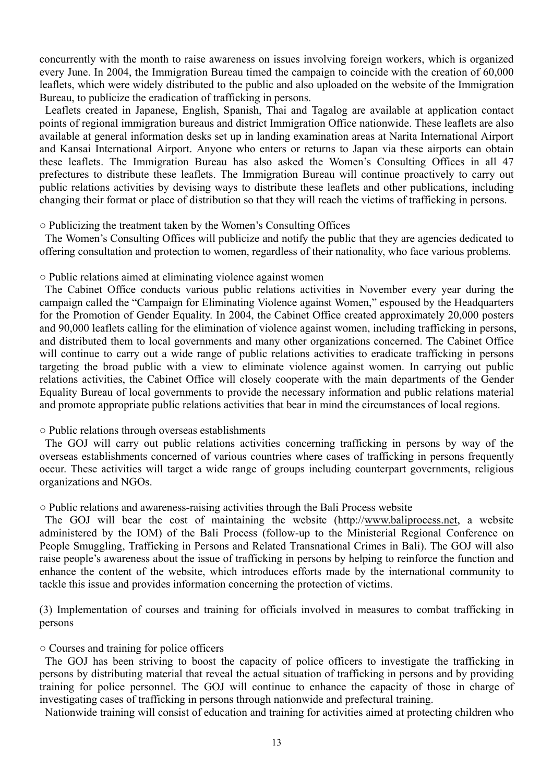concurrently with the month to raise awareness on issues involving foreign workers, which is organized every June. In 2004, the Immigration Bureau timed the campaign to coincide with the creation of 60,000 leaflets, which were widely distributed to the public and also uploaded on the website of the Immigration Bureau, to publicize the eradication of trafficking in persons.

 Leaflets created in Japanese, English, Spanish, Thai and Tagalog are available at application contact points of regional immigration bureaus and district Immigration Office nationwide. These leaflets are also available at general information desks set up in landing examination areas at Narita International Airport and Kansai International Airport. Anyone who enters or returns to Japan via these airports can obtain these leaflets. The Immigration Bureau has also asked the Women's Consulting Offices in all 47 prefectures to distribute these leaflets. The Immigration Bureau will continue proactively to carry out public relations activities by devising ways to distribute these leaflets and other publications, including changing their format or place of distribution so that they will reach the victims of trafficking in persons.

○ Publicizing the treatment taken by the Women's Consulting Offices

The Women's Consulting Offices will publicize and notify the public that they are agencies dedicated to offering consultation and protection to women, regardless of their nationality, who face various problems.

○ Public relations aimed at eliminating violence against women

The Cabinet Office conducts various public relations activities in November every year during the campaign called the "Campaign for Eliminating Violence against Women," espoused by the Headquarters for the Promotion of Gender Equality. In 2004, the Cabinet Office created approximately 20,000 posters and 90,000 leaflets calling for the elimination of violence against women, including trafficking in persons, and distributed them to local governments and many other organizations concerned. The Cabinet Office will continue to carry out a wide range of public relations activities to eradicate trafficking in persons targeting the broad public with a view to eliminate violence against women. In carrying out public relations activities, the Cabinet Office will closely cooperate with the main departments of the Gender Equality Bureau of local governments to provide the necessary information and public relations material and promote appropriate public relations activities that bear in mind the circumstances of local regions.

○ Public relations through overseas establishments

The GOJ will carry out public relations activities concerning trafficking in persons by way of the overseas establishments concerned of various countries where cases of trafficking in persons frequently occur. These activities will target a wide range of groups including counterpart governments, religious organizations and NGOs.

○ Public relations and awareness-raising activities through the Bali Process website

The GOJ will bear the cost of maintaining the website (http://www.baliprocess.net, a website administered by the IOM) of the Bali Process (follow-up to the Ministerial Regional Conference on People Smuggling, Trafficking in Persons and Related Transnational Crimes in Bali). The GOJ will also raise people's awareness about the issue of trafficking in persons by helping to reinforce the function and enhance the content of the website, which introduces efforts made by the international community to tackle this issue and provides information concerning the protection of victims.

(3) Implementation of courses and training for officials involved in measures to combat trafficking in persons

○ Courses and training for police officers

The GOJ has been striving to boost the capacity of police officers to investigate the trafficking in persons by distributing material that reveal the actual situation of trafficking in persons and by providing training for police personnel. The GOJ will continue to enhance the capacity of those in charge of investigating cases of trafficking in persons through nationwide and prefectural training.

Nationwide training will consist of education and training for activities aimed at protecting children who